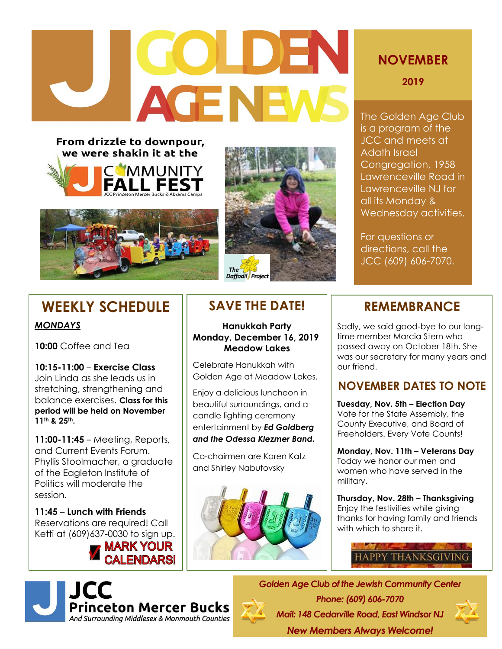# COLDEN **AGENEWS**

From drizzle to downpour, we were shakin it at the







### **WEEKLY SCHEDULE**

#### *MONDAYS*

**10:00** Coffee and Tea

**10:15-11:00** – **Exercise Class** Join Linda as she leads us in stretching, strengthening and balance exercises. **Class for this period will be held on November 11th & 25th.**

**11:00-11:45** – Meeting, Reports, and Current Events Forum. Phyllis Stoolmacher, a graduate of the Eagleton Institute of Politics will moderate the session.

**11:45** – **Lunch with Friends** Reservations are required! Call Ketti at (609)637-0030 to sign up.

#### **MARK YOUR ALENDARSI**



#### **SAVE THE DATE!**

**Hanukkah Party Monday, December 16, 2019 Meadow Lakes**

Celebrate Hanukkah with Golden Age at Meadow Lakes.

Enjoy a delicious luncheon in beautiful surroundings, and a candle lighting ceremony entertainment by *Ed Goldberg and the Odessa Klezmer Band.*

Co-chairmen are Karen Katz and Shirley Nabutovsky



#### **NOVEMBER**

**2019**

The Golden Age Club is a program of the JCC and meets at Adath Israel Congregation, 1958 Lawrenceville Road in Lawrenceville NJ for all its Monday & Wednesday activities.

For questions or directions, call the JCC (609) 606-7070.

#### **REMEMBRANCE**

Sadly, we said good-bye to our longtime member Marcia Stern who passed away on October 18th. She was our secretary for many years and our friend.

#### **NOVEMBER DATES TO NOTE**

**Tuesday, Nov. 5th – Election Day** Vote for the State Assembly, the County Executive, and Board of Freeholders. Every Vote Counts!

**Monday, Nov. 11th – Veterans Day** Today we honor our men and women who have served in the military.

**Thursday, Nov. 28th – Thanksgiving**  Enjoy the festivities while giving thanks for having family and friends with which to share it.



*Golden Age Club of the Jewish Community Center Phone: (609) 606-7070 Mail: 148 Cedarville Road, East Windsor NJ New Members Always Welcome!*